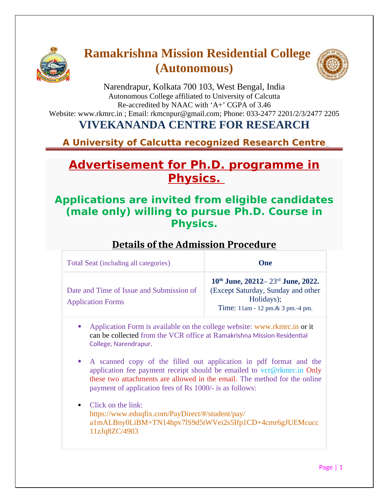

# **Ramakrishna Mission Residential College (Autonomous)**



Narendrapur, Kolkata 700 103, West Bengal, India Autonomous College affiliated to University of Calcutta Re-accredited by NAAC with 'A+' CGPA of 3.46 Website: www.rkmrc.in ; Email: rkmcnpur@gmail.com; Phone: 033-2477 2201/2/3/2477 2205

### **VIVEKANANDA CENTRE FOR RESEARCH**

**A University of Calcutta recognized Research Centre** 

## **Advertisement for Ph.D. programme in Physics.**

#### **Applications are invited from eligible candidates (male only) willing to pursue Ph.D. Course in Physics.**

#### **Details of the Admission Procedure**

| Total Seat (including all categories)                                |                                                                                                                                                                                                                                                                                                           | One                                                                                                                                               |  |
|----------------------------------------------------------------------|-----------------------------------------------------------------------------------------------------------------------------------------------------------------------------------------------------------------------------------------------------------------------------------------------------------|---------------------------------------------------------------------------------------------------------------------------------------------------|--|
| Date and Time of Issue and Submission of<br><b>Application Forms</b> |                                                                                                                                                                                                                                                                                                           | $10^{\text{th}}$ June, 20212–23 <sup>rd</sup> June, 2022.<br>(Except Saturday, Sunday and other<br>Holidays);<br>Time: 11am - 12 pm.& 3 pm.-4 pm. |  |
|                                                                      | Application Form is available on the college website: www.rkmrc.in or it<br>can be collected from the VCR office at Ramakrishna Mission Residential<br>College, Narendrapur.                                                                                                                              |                                                                                                                                                   |  |
| $\bullet$                                                            | A scanned copy of the filled out application in pdf format and the<br>application fee payment receipt should be emailed to $\text{vcr}\omega\text{rkmrc.in}$ Only<br>these two attachments are allowed in the email. The method for the online<br>payment of application fees of Rs 1000/- is as follows: |                                                                                                                                                   |  |
|                                                                      | Click on the link:<br>https://www.eduqfix.com/PayDirect/#/student/pay/<br>a1mALBny0LiBM+TN14hpv7lS9d5tWVei2s5Ifp1CD+4cmr6gJUEMcucc<br>11zJq8ZC/4903                                                                                                                                                       |                                                                                                                                                   |  |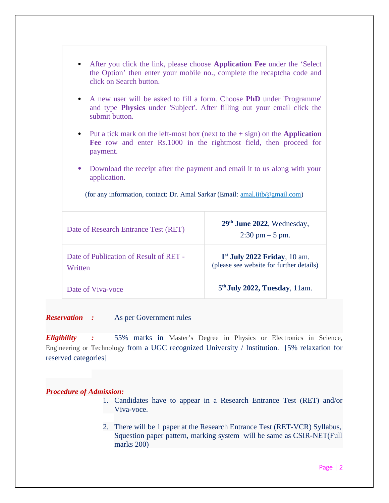| After you click the link, please choose <b>Application Fee</b> under the 'Select<br>the Option' then enter your mobile no., complete the recaptcha code and<br>click on Search button.  |                                                                            |  |  |
|-----------------------------------------------------------------------------------------------------------------------------------------------------------------------------------------|----------------------------------------------------------------------------|--|--|
| A new user will be asked to fill a form. Choose <b>PhD</b> under 'Programme'<br>$\bullet$<br>and type Physics under 'Subject'. After filling out your email click the<br>submit button. |                                                                            |  |  |
| • Put a tick mark on the left-most box (next to the $+$ sign) on the Application<br>Fee row and enter Rs.1000 in the rightmost field, then proceed for<br>payment.                      |                                                                            |  |  |
| Download the receipt after the payment and email it to us along with your<br>$\bullet$<br>application.                                                                                  |                                                                            |  |  |
| (for any information, contact: Dr. Amal Sarkar (Email: amal.iitb@gmail.com)                                                                                                             |                                                                            |  |  |
| Date of Research Entrance Test (RET)                                                                                                                                                    | 29 <sup>th</sup> June 2022, Wednesday,<br>$2:30$ pm $-5$ pm.               |  |  |
| Date of Publication of Result of RET -<br>Written                                                                                                                                       | $1st$ July 2022 Friday, 10 am.<br>(please see website for further details) |  |  |
| Date of Viva-voce                                                                                                                                                                       | 5 <sup>th</sup> July 2022, Tuesday, 11am.                                  |  |  |

*Reservation :* As per Government rules

*Eligibility :* 55% marks in Master's Degree in Physics or Electronics in Science, Engineering or Technology from a UGC recognized University / Institution. [5% relaxation for reserved categories]

#### *Procedure of Admission:*

- 1. Candidates have to appear in a Research Entrance Test (RET) and/or Viva-voce.
- 2. There will be 1 paper at the Research Entrance Test (RET-VCR) Syllabus, Squestion paper pattern, marking system will be same as CSIR-NET(Full marks 200)